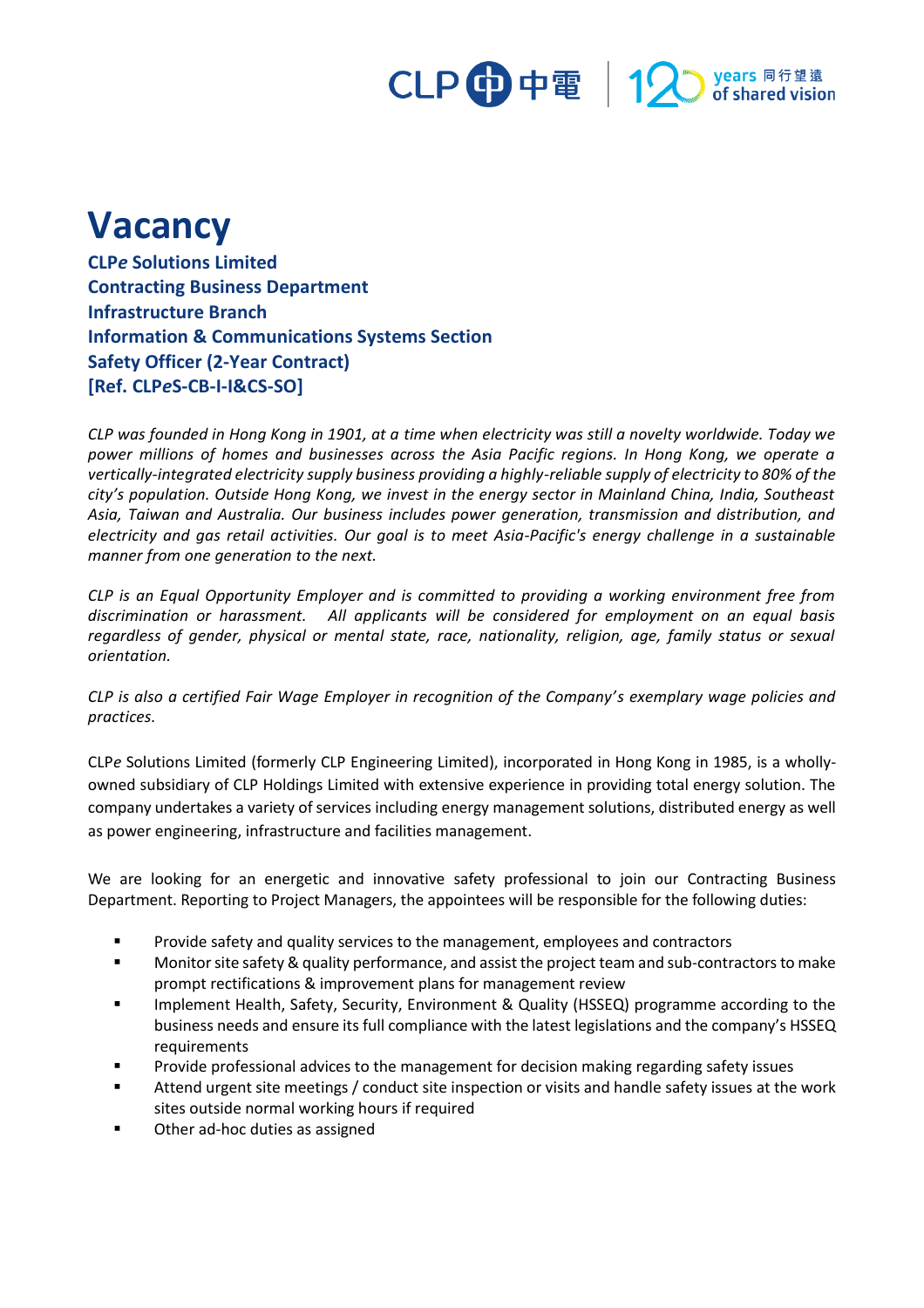## CLP 中電 | 12 years 同行望遠<br>pof shared vision

## **Vacancy**

**CLP***e* **Solutions Limited Contracting Business Department Infrastructure Branch Information & Communications Systems Section Safety Officer (2-Year Contract) [Ref. CLP***e***S-CB-I-I&CS-SO]**

*CLP was founded in Hong Kong in 1901, at a time when electricity was still a novelty worldwide. Today we power millions of homes and businesses across the Asia Pacific regions. In Hong Kong, we operate a vertically-integrated electricity supply business providing a highly-reliable supply of electricity to 80% of the city's population. Outside Hong Kong, we invest in the energy sector in Mainland China, India, Southeast Asia, Taiwan and Australia. Our business includes power generation, transmission and distribution, and electricity and gas retail activities. Our goal is to meet Asia-Pacific's energy challenge in a sustainable manner from one generation to the next.*

*CLP is an Equal Opportunity Employer and is committed to providing a working environment free from discrimination or harassment. All applicants will be considered for employment on an equal basis regardless of gender, physical or mental state, race, nationality, religion, age, family status or sexual orientation.*

*CLP is also a certified Fair Wage Employer in recognition of the Company's exemplary wage policies and practices.*

CLP*e* Solutions Limited (formerly CLP Engineering Limited), incorporated in Hong Kong in 1985, is a whollyowned subsidiary of CLP Holdings Limited with extensive experience in providing total energy solution. The company undertakes a variety of services including energy management solutions, distributed energy as well as power engineering, infrastructure and facilities management.

We are looking for an energetic and innovative safety professional to join our Contracting Business Department. Reporting to Project Managers, the appointees will be responsible for the following duties:

- Provide safety and quality services to the management, employees and contractors
- Monitor site safety & quality performance, and assist the project team and sub-contractors to make prompt rectifications & improvement plans for management review
- Implement Health, Safety, Security, Environment & Quality (HSSEQ) programme according to the business needs and ensure its full compliance with the latest legislations and the company's HSSEQ requirements
- Provide professional advices to the management for decision making regarding safety issues
- Attend urgent site meetings / conduct site inspection or visits and handle safety issues at the work sites outside normal working hours if required
- Other ad-hoc duties as assigned